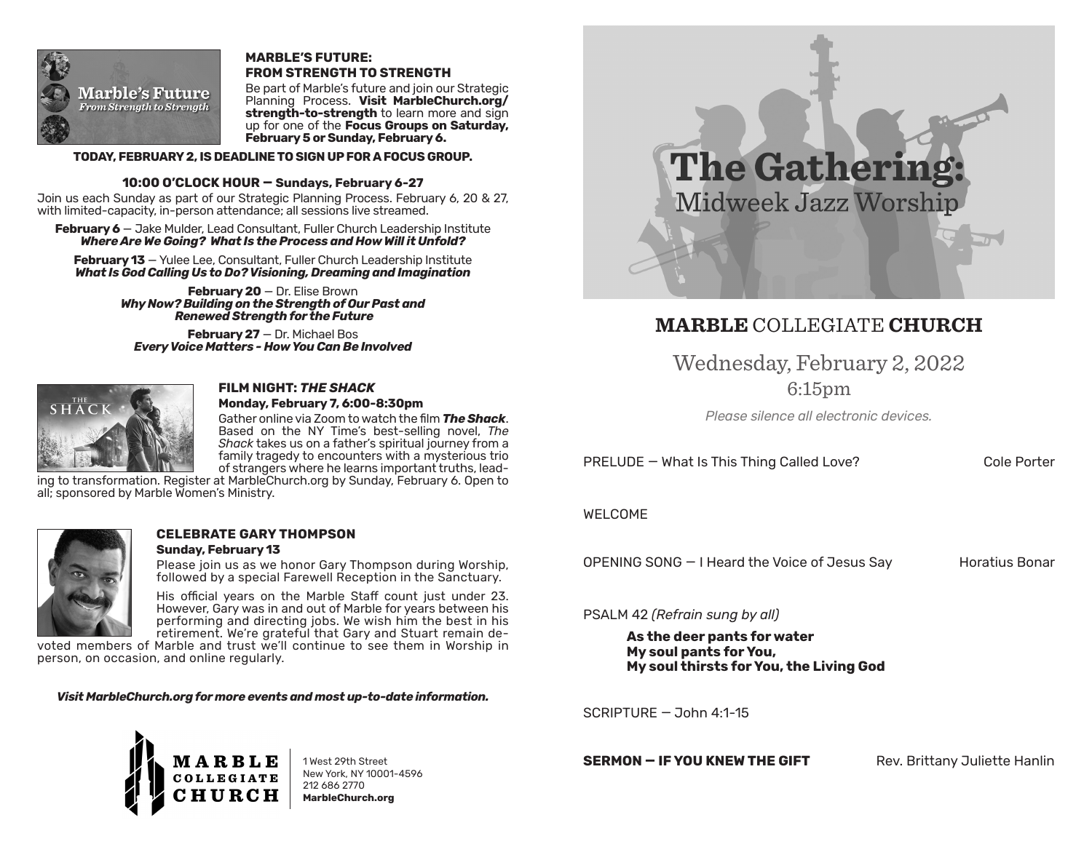

### **MARBLE'S FUTURE: FROM STRENGTH TO STRENGTH**

Be part of Marble's future and join our Strategic Planning Process. **Visit MarbleChurch.org/ strength-to-strength** to learn more and sign up for one of the **Focus Groups on Saturday, February 5 or Sunday, February 6.** 

### **TODAY, FEBRUARY 2, IS DEADLINE TO SIGN UP FOR A FOCUS GROUP.**

### **10:00 O'CLOCK HOUR — Sundays, February 6-27**

Join us each Sunday as part of our Strategic Planning Process. February 6, 20 & 27, with limited-capacity, in-person attendance; all sessions live streamed.

**February 6** — Jake Mulder, Lead Consultant, Fuller Church Leadership Institute *Where Are We Going? What Is the Process and How Will it Unfold?* 

February 13 - Yulee Lee, Consultant, Fuller Church Leadership Institute *What Is God Calling Us to Do? Visioning, Dreaming and Imagination*

> **February 20** — Dr. Elise Brown *Why Now? Building on the Strength of Our Past and Renewed Strength for the Future*

**February 27** — Dr. Michael Bos *Every Voice Matters - How You Can Be Involved*



### **FILM NIGHT:** *THE SHACK* **Monday, February 7, 6:00-8:30pm**

Gather online via Zoom to watch the film *The Shack*. Based on the NY Time's best-selling novel, *The Shack* takes us on a father's spiritual journey from a family tragedy to encounters with a mysterious trio of strangers where he learns important truths, lead-

ing to transformation. Register at MarbleChurch.org by Sunday, February 6. Open to all; sponsored by Marble Women's Ministry.



### **CELEBRATE GARY THOMPSON Sunday, February 13**

Please join us as we honor Gary Thompson during Worship, followed by a special Farewell Reception in the Sanctuary.

His official years on the Marble Staff count just under 23. However, Gary was in and out of Marble for years between his performing and directing jobs. We wish him the best in his retirement. We're grateful that Gary and Stuart remain de-

voted members of Marble and trust we'll continue to see them in Worship in person, on occasion, and online regularly.

*Visit MarbleChurch.org for more events and most up-to-date information.* 



1 West 29th Street New York, NY 10001-4596 212 686 2770 **MarbleChurch.org**



# **MARBLE** COLLEGIATE **CHURCH**

Wednesday, February 2, 2022

6:15pm

*Please silence all electronic devices.*

PRELUDE – What Is This Thing Called Love? Cole Porter

## WELCOME

OPENING SONG — I Heard the Voice of Jesus Say Horatius Bonar

PSALM 42 *(Refrain sung by all)*

**As the deer pants for water My soul pants for You, My soul thirsts for You, the Living God**

 $SCRIPTURF - John 4:1-15$ 

**SERMON – IF YOU KNEW THE GIFT** Rev. Brittany Juliette Hanlin